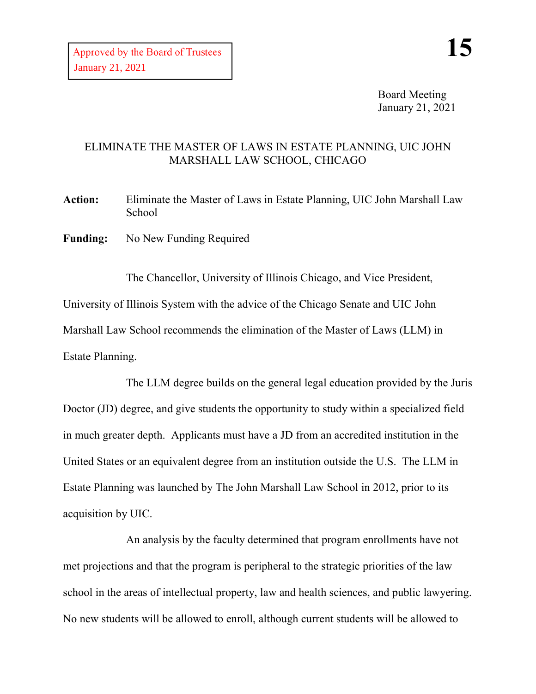Board Meeting January 21, 2021

## ELIMINATE THE MASTER OF LAWS IN ESTATE PLANNING, UIC JOHN MARSHALL LAW SCHOOL, CHICAGO

**Action:** Eliminate the Master of Laws in Estate Planning, UIC John Marshall Law School

**Funding:** No New Funding Required

The Chancellor, University of Illinois Chicago, and Vice President, University of Illinois System with the advice of the Chicago Senate and UIC John Marshall Law School recommends the elimination of the Master of Laws (LLM) in Estate Planning.

The LLM degree builds on the general legal education provided by the Juris Doctor (JD) degree, and give students the opportunity to study within a specialized field in much greater depth. Applicants must have a JD from an accredited institution in the United States or an equivalent degree from an institution outside the U.S. The LLM in Estate Planning was launched by The John Marshall Law School in 2012, prior to its acquisition by UIC.

An analysis by the faculty determined that program enrollments have not met projections and that the program is peripheral to the strategic priorities of the law school in the areas of intellectual property, law and health sciences, and public lawyering. No new students will be allowed to enroll, although current students will be allowed to